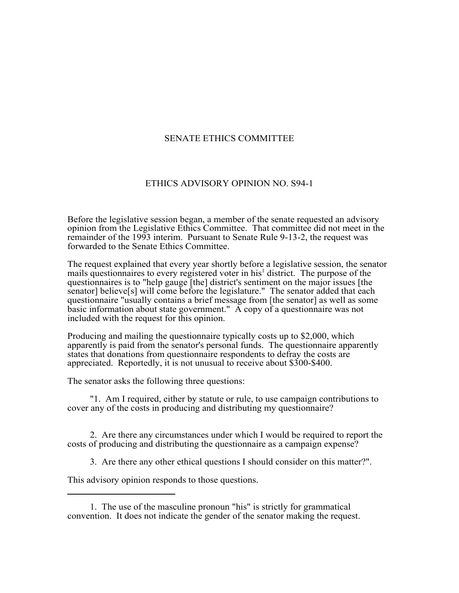## SENATE ETHICS COMMITTEE

## ETHICS ADVISORY OPINION NO. S94-1

Before the legislative session began, a member of the senate requested an advisory opinion from the Legislative Ethics Committee. That committee did not meet in the remainder of the 1993 interim. Pursuant to Senate Rule 9-13-2, the request was forwarded to the Senate Ethics Committee.

The request explained that every year shortly before a legislative session, the senator mails questionnaires to every registered voter in his<sup>1</sup> district. The purpose of the questionnaires is to "help gauge [the] district's sentiment on the major issues [the senator] believe[s] will come before the legislature." The senator added that each questionnaire "usually contains a brief message from [the senator] as well as some basic information about state government." A copy of a question haire was not included with the request for this opinion.

Producing and mailing the questionnaire typically costs up to \$2,000, which apparently is paid from the senator's personal funds. The questionnaire apparently states that donations from questionnaire respondents to defray the costs are appreciated. Reportedly, it is not unusual to receive about \$300-\$400.

The senator asks the following three questions:

"1. Am I required, either by statute or rule, to use campaign contributions to cover any of the costs in producing and distributing my questionnaire?

2. Are there any circumstances under which I would be required to report the costs of producing and distributing the questionnaire as a campaign expense?

3. Are there any other ethical questions I should consider on this matter?".

This advisory opinion responds to those questions.

<sup>1.</sup> The use of the masculine pronoun "his" is strictly for grammatical convention. It does not indicate the gender of the senator making the request.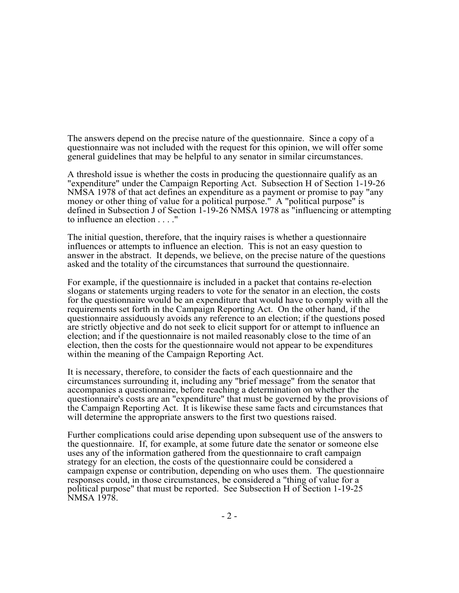The answers depend on the precise nature of the questionnaire. Since a copy of a questionnaire was not included with the request for this opinion, we will offer some general guidelines that may be helpful to any senator in similar circumstances.

A threshold issue is whether the costs in producing the questionnaire qualify as an "expenditure" under the Campaign Reporting Act. Subsection H of Section 1-19-26 NMSA 1978 of that act defines an expenditure as a payment or promise to pay "any money or other thing of value for a political purpose." A "political purpose" is defined in Subsection J of Section 1-19-26 NMSA 1978 as "influencing or attempting to influence an election . . . ."

The initial question, therefore, that the inquiry raises is whether a questionnaire influences or attempts to influence an election. This is not an easy question to answer in the abstract. It depends, we believe, on the precise nature of the questions asked and the totality of the circumstances that surround the questionnaire.

For example, if the questionnaire is included in a packet that contains re-election slogans or statements urging readers to vote for the senator in an election, the costs for the questionnaire would be an expenditure that would have to comply with all the requirements set forth in the Campaign Reporting Act. On the other hand, if the questionnaire assiduously avoids any reference to an election; if the questions posed are strictly objective and do not seek to elicit support for or attempt to influence an election; and if the questionnaire is not mailed reasonably close to the time of an election, then the costs for the questionnaire would not appear to be expenditures within the meaning of the Campaign Reporting Act.

It is necessary, therefore, to consider the facts of each questionnaire and the circumstances surrounding it, including any "brief message" from the senator that accompanies a questionnaire, before reaching a determination on whether the questionnaire's costs are an "expenditure" that must be governed by the provisions of the Campaign Reporting Act. It is likewise these same facts and circumstances that will determine the appropriate answers to the first two questions raised.

Further complications could arise depending upon subsequent use of the answers to the questionnaire. If, for example, at some future date the senator or someone else uses any of the information gathered from the questionnaire to craft campaign strategy for an election, the costs of the questionnaire could be considered a campaign expense or contribution, depending on who uses them. The questionnaire responses could, in those circumstances, be considered a "thing of value for a political purpose" that must be reported. See Subsection H of Section 1-19-25 NMSA 1978.